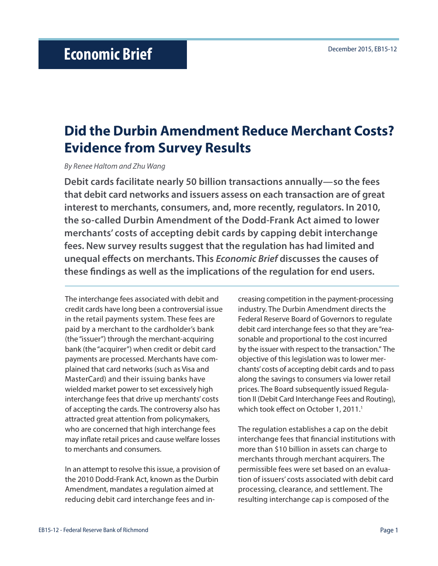# **Did the Durbin Amendment Reduce Merchant Costs? Evidence from Survey Results**

*By Renee Haltom and Zhu Wang*

**Debit cards facilitate nearly 50 billion transactions annually—so the fees that debit card networks and issuers assess on each transaction are of great interest to merchants, consumers, and, more recently, regulators. In 2010, the so-called Durbin Amendment of the Dodd-Frank Act aimed to lower merchants' costs of accepting debit cards by capping debit interchange fees. New survey results suggest that the regulation has had limited and unequal effects on merchants. This** *Economic Brief* **discusses the causes of these findings as well as the implications of the regulation for end users.** 

The interchange fees associated with debit and credit cards have long been a controversial issue in the retail payments system. These fees are paid by a merchant to the cardholder's bank (the "issuer") through the merchant-acquiring bank (the "acquirer") when credit or debit card payments are processed. Merchants have complained that card networks (such as Visa and MasterCard) and their issuing banks have wielded market power to set excessively high interchange fees that drive up merchants' costs of accepting the cards. The controversy also has attracted great attention from policymakers, who are concerned that high interchange fees may inflate retail prices and cause welfare losses to merchants and consumers.

In an attempt to resolve this issue, a provision of the 2010 Dodd-Frank Act, known as the Durbin Amendment, mandates a regulation aimed at reducing debit card interchange fees and increasing competition in the payment-processing industry. The Durbin Amendment directs the Federal Reserve Board of Governors to regulate debit card interchange fees so that they are "reasonable and proportional to the cost incurred by the issuer with respect to the transaction." The objective of this legislation was to lower merchants' costs of accepting debit cards and to pass along the savings to consumers via lower retail prices. The Board subsequently issued Regulation II (Debit Card Interchange Fees and Routing), which took effect on October 1, 2011.<sup>1</sup>

The regulation establishes a cap on the debit interchange fees that financial institutions with more than \$10 billion in assets can charge to merchants through merchant acquirers. The permissible fees were set based on an evaluation of issuers' costs associated with debit card processing, clearance, and settlement. The resulting interchange cap is composed of the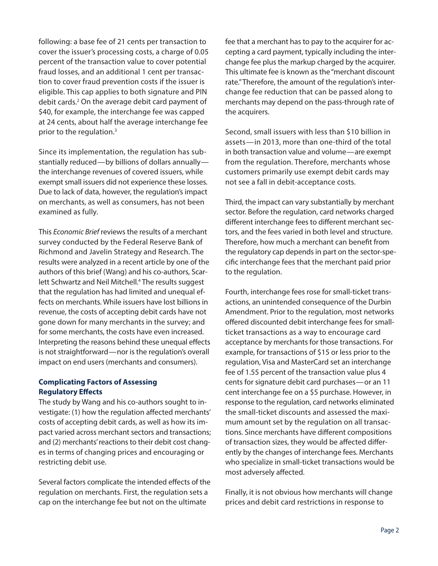following: a base fee of 21 cents per transaction to cover the issuer's processing costs, a charge of 0.05 percent of the transaction value to cover potential fraud losses, and an additional 1 cent per transaction to cover fraud prevention costs if the issuer is eligible. This cap applies to both signature and PIN debit cards.<sup>2</sup> On the average debit card payment of \$40, for example, the interchange fee was capped at 24 cents, about half the average interchange fee prior to the regulation.3

Since its implementation, the regulation has substantially reduced—by billions of dollars annually the interchange revenues of covered issuers, while exempt small issuers did not experience these losses. Due to lack of data, however, the regulation's impact on merchants, as well as consumers, has not been examined as fully.

This *Economic Brief* reviews the results of a merchant survey conducted by the Federal Reserve Bank of Richmond and Javelin Strategy and Research. The results were analyzed in a recent article by one of the authors of this brief (Wang) and his co-authors, Scarlett Schwartz and Neil Mitchell.<sup>4</sup> The results suggest that the regulation has had limited and unequal effects on merchants. While issuers have lost billions in revenue, the costs of accepting debit cards have not gone down for many merchants in the survey; and for some merchants, the costs have even increased. Interpreting the reasons behind these unequal effects is not straightforward—nor is the regulation's overall impact on end users (merchants and consumers).

### **Complicating Factors of Assessing Regulatory Effects**

The study by Wang and his co-authors sought to investigate: (1) how the regulation affected merchants' costs of accepting debit cards, as well as how its impact varied across merchant sectors and transactions; and (2) merchants' reactions to their debit cost changes in terms of changing prices and encouraging or restricting debit use.

Several factors complicate the intended effects of the regulation on merchants. First, the regulation sets a cap on the interchange fee but not on the ultimate

fee that a merchant has to pay to the acquirer for accepting a card payment, typically including the interchange fee plus the markup charged by the acquirer. This ultimate fee is known as the "merchant discount rate." Therefore, the amount of the regulation's interchange fee reduction that can be passed along to merchants may depend on the pass-through rate of the acquirers.

Second, small issuers with less than \$10 billion in assets—in 2013, more than one-third of the total in both transaction value and volume—are exempt from the regulation. Therefore, merchants whose customers primarily use exempt debit cards may not see a fall in debit-acceptance costs.

Third, the impact can vary substantially by merchant sector. Before the regulation, card networks charged different interchange fees to different merchant sectors, and the fees varied in both level and structure. Therefore, how much a merchant can benefit from the regulatory cap depends in part on the sector-specific interchange fees that the merchant paid prior to the regulation.

Fourth, interchange fees rose for small-ticket transactions, an unintended consequence of the Durbin Amendment. Prior to the regulation, most networks offered discounted debit interchange fees for smallticket transactions as a way to encourage card acceptance by merchants for those transactions. For example, for transactions of \$15 or less prior to the regulation, Visa and MasterCard set an interchange fee of 1.55 percent of the transaction value plus 4 cents for signature debit card purchases—or an 11 cent interchange fee on a \$5 purchase. However, in response to the regulation, card networks eliminated the small-ticket discounts and assessed the maximum amount set by the regulation on all transactions. Since merchants have different compositions of transaction sizes, they would be affected differently by the changes of interchange fees. Merchants who specialize in small-ticket transactions would be most adversely affected.

Finally, it is not obvious how merchants will change prices and debit card restrictions in response to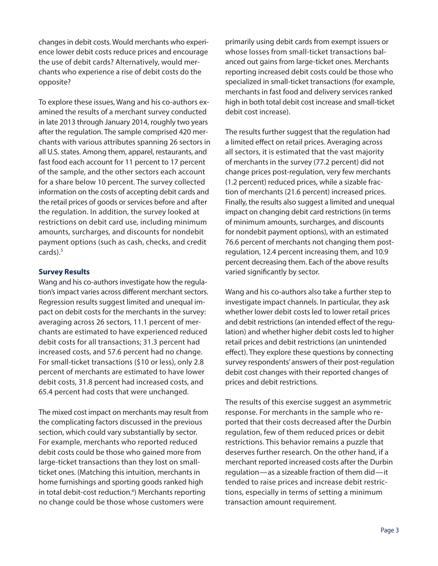changes in debit costs. Would merchants who experience lower debit costs reduce prices and encourage the use of debit cards? Alternatively, would merchants who experience a rise of debit costs do the opposite?

To explore these issues, Wang and his co-authors examined the results of a merchant survey conducted in late 2013 through January 2014, roughly two years after the regulation. The sample comprised 420 merchants with various attributes spanning 26 sectors in all U.S. states. Among them, apparel, restaurants, and fast food each account for 11 percent to 17 percent of the sample, and the other sectors each account for a share below 10 percent. The survey collected information on the costs of accepting debit cards and the retail prices of goods or services before and after the regulation. In addition, the survey looked at restrictions on debit card use, including minimum amounts, surcharges, and discounts for nondebit payment options (such as cash, checks, and credit cards).<sup>5</sup>

## **Survey Results**

Wang and his co-authors investigate how the regulation's impact varies across different merchant sectors. Regression results suggest limited and unequal impact on debit costs for the merchants in the survey: averaging across 26 sectors, 11.1 percent of merchants are estimated to have experienced reduced debit costs for all transactions; 31.3 percent had increased costs, and 57.6 percent had no change. For small-ticket transactions (\$10 or less), only 2.8 percent of merchants are estimated to have lower debit costs, 31.8 percent had increased costs, and 65.4 percent had costs that were unchanged.

The mixed cost impact on merchants may result from the complicating factors discussed in the previous section, which could vary substantially by sector. For example, merchants who reported reduced debit costs could be those who gained more from large-ticket transactions than they lost on smallticket ones. (Matching this intuition, merchants in home furnishings and sporting goods ranked high in total debit-cost reduction.<sup>6</sup>) Merchants reporting no change could be those whose customers were

primarily using debit cards from exempt issuers or whose losses from small-ticket transactions balanced out gains from large-ticket ones. Merchants reporting increased debit costs could be those who specialized in small-ticket transactions (for example, merchants in fast food and delivery services ranked high in both total debit cost increase and small-ticket debit cost increase).

The results further suggest that the regulation had a limited effect on retail prices. Averaging across all sectors, it is estimated that the vast majority of merchants in the survey (77.2 percent) did not change prices post-regulation, very few merchants (1.2 percent) reduced prices, while a sizable fraction of merchants (21.6 percent) increased prices. Finally, the results also suggest a limited and unequal impact on changing debit card restrictions (in terms of minimum amounts, surcharges, and discounts for nondebit payment options), with an estimated 76.6 percent of merchants not changing them postregulation, 12.4 percent increasing them, and 10.9 percent decreasing them. Each of the above results varied significantly by sector.

Wang and his co-authors also take a further step to investigate impact channels. In particular, they ask whether lower debit costs led to lower retail prices and debit restrictions (an intended effect of the regulation) and whether higher debit costs led to higher retail prices and debit restrictions (an unintended effect). They explore these questions by connecting survey respondents' answers of their post-regulation debit cost changes with their reported changes of prices and debit restrictions.

The results of this exercise suggest an asymmetric response. For merchants in the sample who reported that their costs decreased after the Durbin regulation, few of them reduced prices or debit restrictions. This behavior remains a puzzle that deserves further research. On the other hand, if a merchant reported increased costs after the Durbin regulation—as a sizeable fraction of them did—it tended to raise prices and increase debit restrictions, especially in terms of setting a minimum transaction amount requirement.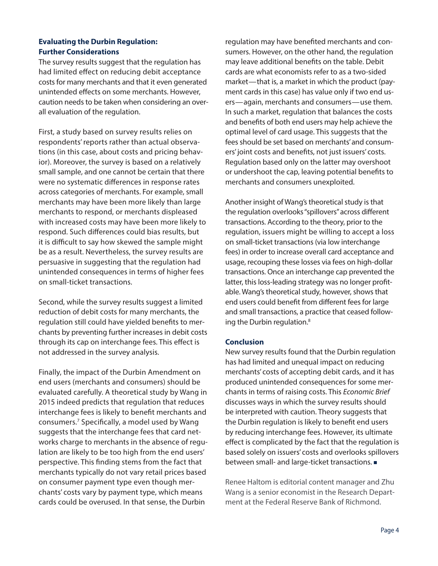# **Evaluating the Durbin Regulation: Further Considerations**

The survey results suggest that the regulation has had limited effect on reducing debit acceptance costs for many merchants and that it even generated unintended effects on some merchants. However, caution needs to be taken when considering an overall evaluation of the regulation.

First, a study based on survey results relies on respondents' reports rather than actual observations (in this case, about costs and pricing behavior). Moreover, the survey is based on a relatively small sample, and one cannot be certain that there were no systematic differences in response rates across categories of merchants. For example, small merchants may have been more likely than large merchants to respond, or merchants displeased with increased costs may have been more likely to respond. Such differences could bias results, but it is difficult to say how skewed the sample might be as a result. Nevertheless, the survey results are persuasive in suggesting that the regulation had unintended consequences in terms of higher fees on small-ticket transactions.

Second, while the survey results suggest a limited reduction of debit costs for many merchants, the regulation still could have yielded benefits to merchants by preventing further increases in debit costs through its cap on interchange fees. This effect is not addressed in the survey analysis.

Finally, the impact of the Durbin Amendment on end users (merchants and consumers) should be evaluated carefully. A theoretical study by Wang in 2015 indeed predicts that regulation that reduces interchange fees is likely to benefit merchants and consumers.7 Specifically, a model used by Wang suggests that the interchange fees that card networks charge to merchants in the absence of regulation are likely to be too high from the end users' perspective. This finding stems from the fact that merchants typically do not vary retail prices based on consumer payment type even though merchants' costs vary by payment type, which means cards could be overused. In that sense, the Durbin

regulation may have benefited merchants and consumers. However, on the other hand, the regulation may leave additional benefits on the table. Debit cards are what economists refer to as a two-sided market—that is, a market in which the product (payment cards in this case) has value only if two end users—again, merchants and consumers—use them. In such a market, regulation that balances the costs and benefits of both end users may help achieve the optimal level of card usage. This suggests that the fees should be set based on merchants' and consumers' joint costs and benefits, not just issuers' costs. Regulation based only on the latter may overshoot or undershoot the cap, leaving potential benefits to merchants and consumers unexploited.

Another insight of Wang's theoretical study is that the regulation overlooks "spillovers" across different transactions. According to the theory, prior to the regulation, issuers might be willing to accept a loss on small-ticket transactions (via low interchange fees) in order to increase overall card acceptance and usage, recouping these losses via fees on high-dollar transactions. Once an interchange cap prevented the latter, this loss-leading strategy was no longer profitable. Wang's theoretical study, however, shows that end users could benefit from different fees for large and small transactions, a practice that ceased following the Durbin regulation.<sup>8</sup>

### **Conclusion**

New survey results found that the Durbin regulation has had limited and unequal impact on reducing merchants' costs of accepting debit cards, and it has produced unintended consequences for some merchants in terms of raising costs. This *Economic Brief* discusses ways in which the survey results should be interpreted with caution. Theory suggests that the Durbin regulation is likely to benefit end users by reducing interchange fees. However, its ultimate effect is complicated by the fact that the regulation is based solely on issuers' costs and overlooks spillovers between small- and large-ticket transactions.

Renee Haltom is editorial content manager and Zhu Wang is a senior economist in the Research Department at the Federal Reserve Bank of Richmond.